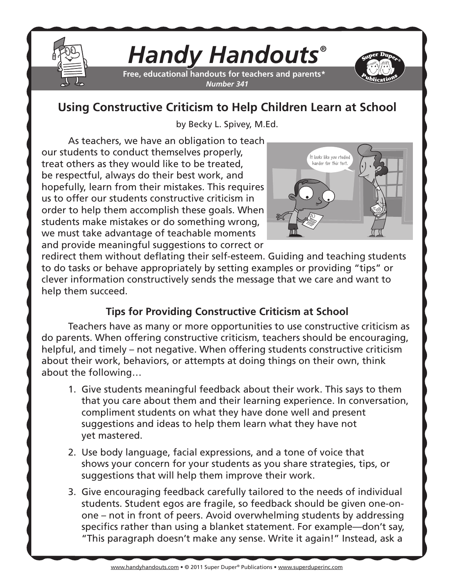

# *Handy Handouts®*

**Free, educational handouts for teachers and parents\*** *Number 341*



## **Using Constructive Criticism to Help Children Learn at School**

by Becky L. Spivey, M.Ed.

As teachers, we have an obligation to teach our students to conduct themselves properly, treat others as they would like to be treated, be respectful, always do their best work, and hopefully, learn from their mistakes. This requires us to offer our students constructive criticism in order to help them accomplish these goals. When students make mistakes or do something wrong, we must take advantage of teachable moments and provide meaningful suggestions to correct or



redirect them without deflating their self-esteem. Guiding and teaching students to do tasks or behave appropriately by setting examples or providing "tips" or clever information constructively sends the message that we care and want to help them succeed.

### **Tips for Providing Constructive Criticism at School**

Teachers have as many or more opportunities to use constructive criticism as do parents. When offering constructive criticism, teachers should be encouraging, helpful, and timely – not negative. When offering students constructive criticism about their work, behaviors, or attempts at doing things on their own, think about the following…

- 1. Give students meaningful feedback about their work. This says to them that you care about them and their learning experience. In conversation, compliment students on what they have done well and present suggestions and ideas to help them learn what they have not yet mastered.
- 2. Use body language, facial expressions, and a tone of voice that shows your concern for your students as you share strategies, tips, or suggestions that will help them improve their work.
- 3. Give encouraging feedback carefully tailored to the needs of individual students. Student egos are fragile, so feedback should be given one-onone – not in front of peers. Avoid overwhelming students by addressing specifics rather than using a blanket statement. For example—don't say, "This paragraph doesn't make any sense. Write it again!" Instead, ask a